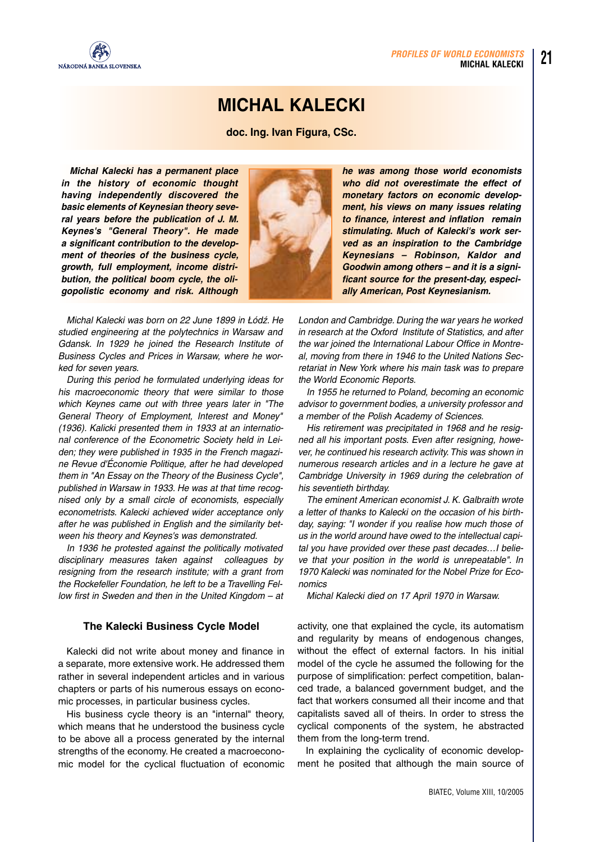

# **MICHAL KALECKI**

**doc. Ing. Ivan Figura, CSc.**

*Michal Kalecki has a permanent place in the history of economic thought having independently discovered the basic elements of Keynesian theory several years before the publication of J. M. Keynes's "General Theory". He made a significant contribution to the development of theories of the business cycle, growth, full employment, income distribution, the political boom cycle, the oligopolistic economy and risk. Although*



Michal Kalecki was born on 22 June 1899 in Łódź. He studied engineering at the polytechnics in Warsaw and Gdansk. In 1929 he joined the Research Institute of Business Cycles and Prices in Warsaw, where he worked for seven years.

During this period he formulated underlying ideas for his macroeconomic theory that were similar to those which Keynes came out with three years later in "The General Theory of Employment, Interest and Money" (1936). Kalicki presented them in 1933 at an international conference of the Econometric Society held in Leiden; they were published in 1935 in the French magazine Revue d'Économie Politique, after he had developed them in "An Essay on the Theory of the Business Cycle", published in Warsaw in 1933. He was at that time recognised only by a small circle of economists, especially econometrists. Kalecki achieved wider acceptance only after he was published in English and the similarity between his theory and Keynes's was demonstrated.

In 1936 he protested against the politically motivated disciplinary measures taken against colleagues by resigning from the research institute; with a grant from the Rockefeller Foundation, he left to be a Travelling Fellow first in Sweden and then in the United Kingdom – at

## **The Kalecki Business Cycle Model**

Kalecki did not write about money and finance in a separate, more extensive work. He addressed them rather in several independent articles and in various chapters or parts of his numerous essays on economic processes, in particular business cycles.

His business cycle theory is an "internal" theory, which means that he understood the business cycle to be above all a process generated by the internal strengths of the economy. He created a macroeconomic model for the cyclical fluctuation of economic

*he was among those world economists who did not overestimate the effect of monetary factors on economic development, his views on many issues relating to finance, interest and inflation remain stimulating. Much of Kalecki's work served as an inspiration to the Cambridge Keynesians – Robinson, Kaldor and Goodwin among others – and it is a significant source for the present-day, especially American, Post Keynesianism.*

London and Cambridge. During the war years he worked in research at the Oxford Institute of Statistics, and after the war joined the International Labour Office in Montreal, moving from there in 1946 to the United Nations Secretariat in New York where his main task was to prepare the World Economic Reports.

In 1955 he returned to Poland, becoming an economic advisor to government bodies, a university professor and a member of the Polish Academy of Sciences.

His retirement was precipitated in 1968 and he resigned all his important posts. Even after resigning, however, he continued his research activity. This was shown in numerous research articles and in a lecture he gave at Cambridge University in 1969 during the celebration of his seventieth birthday.

The eminent American economist J. K. Galbraith wrote a letter of thanks to Kalecki on the occasion of his birthday, saying: "I wonder if you realise how much those of us in the world around have owed to the intellectual capital you have provided over these past decades…I believe that your position in the world is unrepeatable". In 1970 Kalecki was nominated for the Nobel Prize for Economics

Michal Kalecki died on 17 April 1970 in Warsaw.

activity, one that explained the cycle, its automatism and regularity by means of endogenous changes, without the effect of external factors. In his initial model of the cycle he assumed the following for the purpose of simplification: perfect competition, balanced trade, a balanced government budget, and the fact that workers consumed all their income and that capitalists saved all of theirs. In order to stress the cyclical components of the system, he abstracted them from the long-term trend.

In explaining the cyclicality of economic development he posited that although the main source of **21**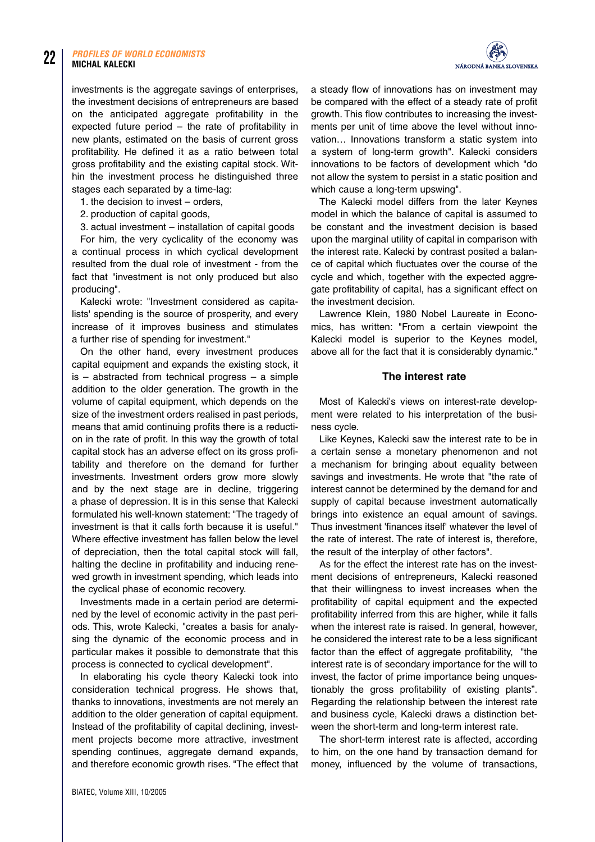investments is the aggregate savings of enterprises, the investment decisions of entrepreneurs are based on the anticipated aggregate profitability in the expected future period – the rate of profitability in new plants, estimated on the basis of current gross profitability. He defined it as a ratio between total gross profitability and the existing capital stock. Within the investment process he distinguished three stages each separated by a time-lag:

1. the decision to invest – orders,

2. production of capital goods,

3. actual investment – installation of capital goods

For him, the very cyclicality of the economy was a continual process in which cyclical development resulted from the dual role of investment - from the fact that "investment is not only produced but also producing".

Kalecki wrote:"Investment considered as capitalists' spending is the source of prosperity, and every increase of it improves business and stimulates a further rise of spending for investment."

On the other hand, every investment produces capital equipment and expands the existing stock, it  $is - abstracted$  from technical progress  $-$  a simple addition to the older generation. The growth in the volume of capital equipment, which depends on the size of the investment orders realised in past periods, means that amid continuing profits there is a reduction in the rate of profit. In this way the growth of total capital stock has an adverse effect on its gross profitability and therefore on the demand for further investments. Investment orders grow more slowly and by the next stage are in decline, triggering a phase of depression. It is in this sense that Kalecki formulated his well-known statement:"The tragedy of investment is that it calls forth because it is useful." Where effective investment has fallen below the level of depreciation, then the total capital stock will fall, halting the decline in profitability and inducing renewed growth in investment spending, which leads into the cyclical phase of economic recovery.

Investments made in a certain period are determined by the level of economic activity in the past periods. This, wrote Kalecki, "creates a basis for analysing the dynamic of the economic process and in particular makes it possible to demonstrate that this process is connected to cyclical development".

In elaborating his cycle theory Kalecki took into consideration technical progress. He shows that, thanks to innovations, investments are not merely an addition to the older generation of capital equipment. Instead of the profitability of capital declining, investment projects become more attractive, investment spending continues, aggregate demand expands, and therefore economic growth rises. "The effect that



a steady flow of innovations has on investment may be compared with the effect of a steady rate of profit growth. This flow contributes to increasing the investments per unit of time above the level without innovation… Innovations transform a static system into a system of long-term growth". Kalecki considers innovations to be factors of development which "do not allow the system to persist in a static position and which cause a long-term upswing".

The Kalecki model differs from the later Keynes model in which the balance of capital is assumed to be constant and the investment decision is based upon the marginal utility of capital in comparison with the interest rate. Kalecki by contrast posited a balance of capital which fluctuates over the course of the cycle and which, together with the expected aggregate profitability of capital, has a significant effect on the investment decision.

Lawrence Klein, 1980 Nobel Laureate in Economics, has written:"From a certain viewpoint the Kalecki model is superior to the Keynes model, above all for the fact that it is considerably dynamic."

## **The interest rate**

Most of Kalecki's views on interest-rate development were related to his interpretation of the business cycle.

Like Keynes, Kalecki saw the interest rate to be in a certain sense a monetary phenomenon and not a mechanism for bringing about equality between savings and investments. He wrote that "the rate of interest cannot be determined by the demand for and supply of capital because investment automatically brings into existence an equal amount of savings. Thus investment 'finances itself' whatever the level of the rate of interest. The rate of interest is, therefore, the result of the interplay of other factors".

As for the effect the interest rate has on the investment decisions of entrepreneurs, Kalecki reasoned that their willingness to invest increases when the profitability of capital equipment and the expected profitability inferred from this are higher, while it falls when the interest rate is raised. In general, however, he considered the interest rate to be a less significant factor than the effect of aggregate profitability, "the interest rate is of secondary importance for the will to invest, the factor of prime importance being unquestionably the gross profitability of existing plants". Regarding the relationship between the interest rate and business cycle, Kalecki draws a distinction between the short-term and long-term interest rate.

The short-term interest rate is affected, according to him, on the one hand by transaction demand for money, influenced by the volume of transactions,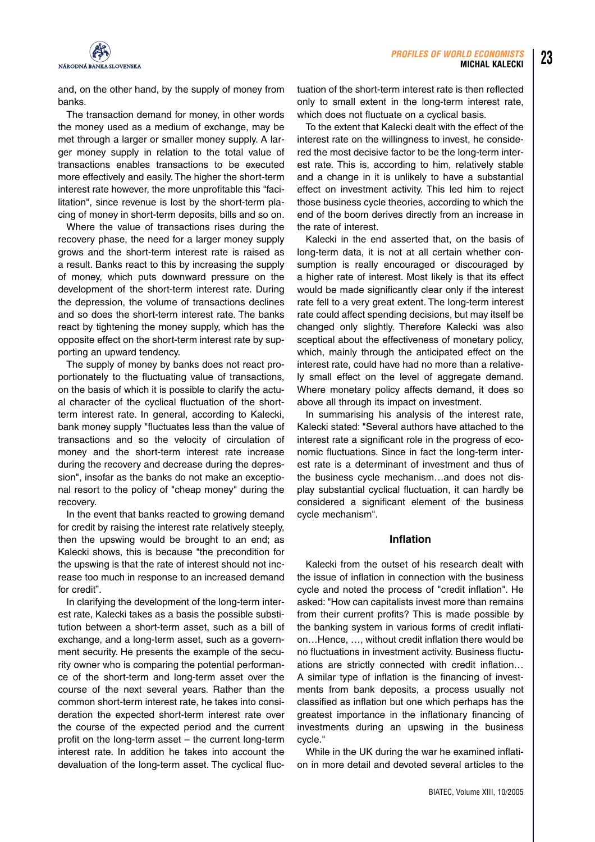

and, on the other hand, by the supply of money from banks.

The transaction demand for money, in other words the money used as a medium of exchange, may be met through a larger or smaller money supply. A larger money supply in relation to the total value of transactions enables transactions to be executed more effectively and easily. The higher the short-term interest rate however, the more unprofitable this "facilitation", since revenue is lost by the short-term placing of money in short-term deposits, bills and so on.

Where the value of transactions rises during the recovery phase, the need for a larger money supply grows and the short-term interest rate is raised as a result. Banks react to this by increasing the supply of money, which puts downward pressure on the development of the short-term interest rate. During the depression, the volume of transactions declines and so does the short-term interest rate. The banks react by tightening the money supply, which has the opposite effect on the short-term interest rate by supporting an upward tendency.

The supply of money by banks does not react proportionately to the fluctuating value of transactions, on the basis of which it is possible to clarify the actual character of the cyclical fluctuation of the shortterm interest rate. In general, according to Kalecki, bank money supply "fluctuates less than the value of transactions and so the velocity of circulation of money and the short-term interest rate increase during the recovery and decrease during the depression", insofar as the banks do not make an exceptional resort to the policy of "cheap money" during the recovery.

In the event that banks reacted to growing demand for credit by raising the interest rate relatively steeply, then the upswing would be brought to an end; as Kalecki shows, this is because "the precondition for the upswing is that the rate of interest should not increase too much in response to an increased demand for credit".

In clarifying the development of the long-term interest rate, Kalecki takes as a basis the possible substitution between a short-term asset, such as a bill of exchange, and a long-term asset, such as a government security. He presents the example of the security owner who is comparing the potential performance of the short-term and long-term asset over the course of the next several years. Rather than the common short-term interest rate, he takes into consideration the expected short-term interest rate over the course of the expected period and the current profit on the long-term asset – the current long-term interest rate. In addition he takes into account the devaluation of the long-term asset. The cyclical fluctuation of the short-term interest rate is then reflected only to small extent in the long-term interest rate, which does not fluctuate on a cyclical basis.

To the extent that Kalecki dealt with the effect of the interest rate on the willingness to invest, he considered the most decisive factor to be the long-term interest rate. This is, according to him, relatively stable and a change in it is unlikely to have a substantial effect on investment activity. This led him to reject those business cycle theories, according to which the end of the boom derives directly from an increase in the rate of interest.

Kalecki in the end asserted that, on the basis of long-term data, it is not at all certain whether consumption is really encouraged or discouraged by a higher rate of interest. Most likely is that its effect would be made significantly clear only if the interest rate fell to a very great extent. The long-term interest rate could affect spending decisions, but may itself be changed only slightly. Therefore Kalecki was also sceptical about the effectiveness of monetary policy, which, mainly through the anticipated effect on the interest rate, could have had no more than a relatively small effect on the level of aggregate demand. Where monetary policy affects demand, it does so above all through its impact on investment.

In summarising his analysis of the interest rate, Kalecki stated:"Several authors have attached to the interest rate a significant role in the progress of economic fluctuations. Since in fact the long-term interest rate is a determinant of investment and thus of the business cycle mechanism…and does not display substantial cyclical fluctuation, it can hardly be considered a significant element of the business cycle mechanism".

#### **Inflation**

Kalecki from the outset of his research dealt with the issue of inflation in connection with the business cycle and noted the process of "credit inflation". He asked:"How can capitalists invest more than remains from their current profits? This is made possible by the banking system in various forms of credit inflation…Hence, …, without credit inflation there would be no fluctuations in investment activity. Business fluctuations are strictly connected with credit inflation… A similar type of inflation is the financing of investments from bank deposits, a process usually not classified as inflation but one which perhaps has the greatest importance in the inflationary financing of investments during an upswing in the business cycle."

While in the UK during the war he examined inflation in more detail and devoted several articles to the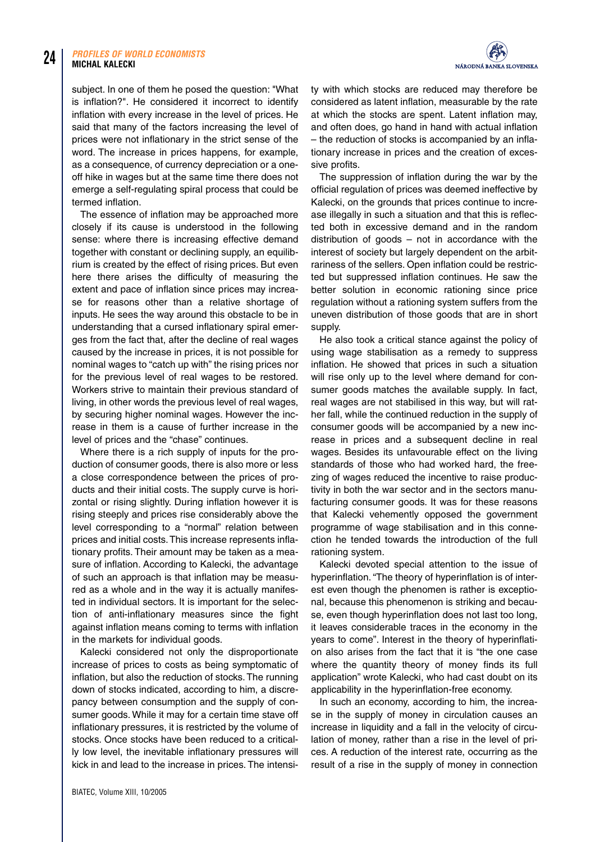subject. In one of them he posed the question:"What is inflation?". He considered it incorrect to identify inflation with every increase in the level of prices. He said that many of the factors increasing the level of prices were not inflationary in the strict sense of the word. The increase in prices happens, for example, as a consequence, of currency depreciation or a oneoff hike in wages but at the same time there does not emerge a self-regulating spiral process that could be termed inflation.

The essence of inflation may be approached more closely if its cause is understood in the following sense: where there is increasing effective demand together with constant or declining supply, an equilibrium is created by the effect of rising prices. But even here there arises the difficulty of measuring the extent and pace of inflation since prices may increase for reasons other than a relative shortage of inputs. He sees the way around this obstacle to be in understanding that a cursed inflationary spiral emerges from the fact that, after the decline of real wages caused by the increase in prices, it is not possible for nominal wages to "catch up with" the rising prices nor for the previous level of real wages to be restored. Workers strive to maintain their previous standard of living, in other words the previous level of real wages, by securing higher nominal wages. However the increase in them is a cause of further increase in the level of prices and the "chase" continues.

Where there is a rich supply of inputs for the production of consumer goods, there is also more or less a close correspondence between the prices of products and their initial costs. The supply curve is horizontal or rising slightly. During inflation however it is rising steeply and prices rise considerably above the level corresponding to a "normal" relation between prices and initial costs.This increase represents inflationary profits. Their amount may be taken as a measure of inflation. According to Kalecki, the advantage of such an approach is that inflation may be measured as a whole and in the way it is actually manifested in individual sectors. It is important for the selection of anti-inflationary measures since the fight against inflation means coming to terms with inflation in the markets for individual goods.

Kalecki considered not only the disproportionate increase of prices to costs as being symptomatic of inflation, but also the reduction of stocks. The running down of stocks indicated, according to him, a discrepancy between consumption and the supply of consumer goods. While it may for a certain time stave off inflationary pressures, it is restricted by the volume of stocks. Once stocks have been reduced to a critically low level, the inevitable inflationary pressures will kick in and lead to the increase in prices. The intensi-



ty with which stocks are reduced may therefore be considered as latent inflation, measurable by the rate at which the stocks are spent. Latent inflation may, and often does, go hand in hand with actual inflation – the reduction of stocks is accompanied by an inflationary increase in prices and the creation of excessive profits.

The suppression of inflation during the war by the official regulation of prices was deemed ineffective by Kalecki, on the grounds that prices continue to increase illegally in such a situation and that this is reflected both in excessive demand and in the random distribution of goods – not in accordance with the interest of society but largely dependent on the arbitrariness of the sellers. Open inflation could be restricted but suppressed inflation continues. He saw the better solution in economic rationing since price regulation without a rationing system suffers from the uneven distribution of those goods that are in short supply.

He also took a critical stance against the policy of using wage stabilisation as a remedy to suppress inflation. He showed that prices in such a situation will rise only up to the level where demand for consumer goods matches the available supply. In fact, real wages are not stabilised in this way, but will rather fall, while the continued reduction in the supply of consumer goods will be accompanied by a new increase in prices and a subsequent decline in real wages. Besides its unfavourable effect on the living standards of those who had worked hard, the freezing of wages reduced the incentive to raise productivity in both the war sector and in the sectors manufacturing consumer goods. It was for these reasons that Kalecki vehemently opposed the government programme of wage stabilisation and in this connection he tended towards the introduction of the full rationing system.

Kalecki devoted special attention to the issue of hyperinflation. "The theory of hyperinflation is of interest even though the phenomen is rather is exceptional, because this phenomenon is striking and because, even though hyperinflation does not last too long, it leaves considerable traces in the economy in the years to come". Interest in the theory of hyperinflation also arises from the fact that it is "the one case where the quantity theory of money finds its full application" wrote Kalecki, who had cast doubt on its applicability in the hyperinflation-free economy.

In such an economy, according to him, the increase in the supply of money in circulation causes an increase in liquidity and a fall in the velocity of circulation of money, rather than a rise in the level of prices. A reduction of the interest rate, occurring as the result of a rise in the supply of money in connection